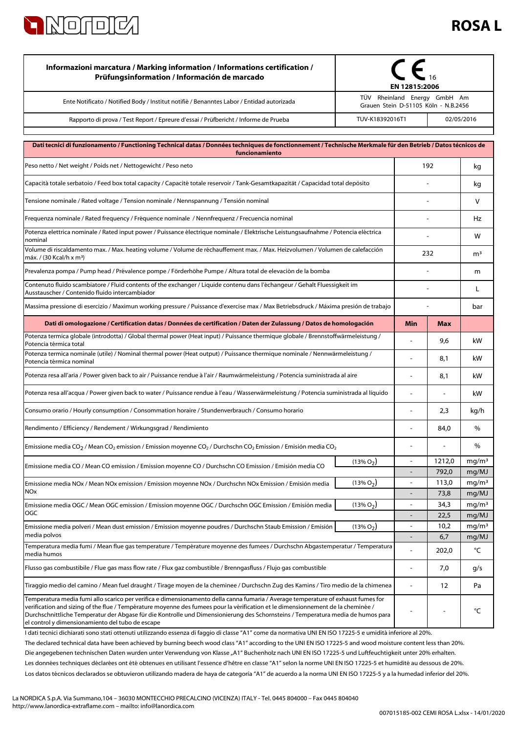

## **ROSA L**

| Informazioni marcatura / Marking information / Informations certification /<br>Prüfungsinformation / Información de marcado                                                                                                                                                                                                                                                                                                                                   | EN 12815:2006<br>TÜV Rheinland Energy GmbH Am |                                            |                 |                            |
|---------------------------------------------------------------------------------------------------------------------------------------------------------------------------------------------------------------------------------------------------------------------------------------------------------------------------------------------------------------------------------------------------------------------------------------------------------------|-----------------------------------------------|--------------------------------------------|-----------------|----------------------------|
| Ente Notificato / Notified Body / Institut notifiè / Benanntes Labor / Entidad autorizada                                                                                                                                                                                                                                                                                                                                                                     | Grauen Stein D-51105 Köln - N.B.2456          |                                            |                 |                            |
| Rapporto di prova / Test Report / Epreure d'essai / Prüfbericht / Informe de Prueba                                                                                                                                                                                                                                                                                                                                                                           | TUV-K18392016T1<br>02/05/2016                 |                                            |                 |                            |
|                                                                                                                                                                                                                                                                                                                                                                                                                                                               |                                               |                                            |                 |                            |
| Dati tecnici di funzionamento / Functioning Technical datas / Données techniques de fonctionnement / Technische Merkmale für den Betrieb / Datos técnicos de<br>funcionamiento                                                                                                                                                                                                                                                                                |                                               |                                            |                 |                            |
| Peso netto / Net weight / Poids net / Nettogewicht / Peso neto                                                                                                                                                                                                                                                                                                                                                                                                | 192                                           |                                            |                 | kg                         |
| Capacità totale serbatoio / Feed box total capacity / Capacité totale reservoir / Tank-Gesamtkapazität / Capacidad total depósito                                                                                                                                                                                                                                                                                                                             |                                               |                                            |                 |                            |
| Tensione nominale / Rated voltage / Tension nominale / Nennspannung / Tensión nominal                                                                                                                                                                                                                                                                                                                                                                         |                                               |                                            |                 | v                          |
| Frequenza nominale / Rated frequency / Fréquence nominale / Nennfrequenz / Frecuencia nominal                                                                                                                                                                                                                                                                                                                                                                 |                                               |                                            |                 |                            |
| Potenza elettrica nominale / Rated input power / Puissance électrique nominale / Elektrische Leistungsaufnahme / Potencia eléctrica<br>nominal                                                                                                                                                                                                                                                                                                                |                                               |                                            |                 | w                          |
| Volume di riscaldamento max. / Max. heating volume / Volume de réchauffement max. / Max. Heizvolumen / Volumen de calefacción<br>máx. / (30 Kcal/h x m <sup>3</sup> )                                                                                                                                                                                                                                                                                         |                                               | 232                                        |                 | m <sup>3</sup>             |
| Prevalenza pompa / Pump head / Prévalence pompe / Förderhöhe Pumpe / Altura total de elevaciòn de la bomba                                                                                                                                                                                                                                                                                                                                                    |                                               |                                            |                 | m                          |
| Contenuto fluido scambiatore / Fluid contents of the exchanger / Liquide contenu dans l'échangeur / Gehalt Fluessigkeit im<br>Ausstauscher / Contenido fluido intercambiador                                                                                                                                                                                                                                                                                  |                                               |                                            |                 | L                          |
| Massima pressione di esercizio / Maximun working pressure / Puissance d'exercise max / Max Betriebsdruck / Máxima presión de trabajo                                                                                                                                                                                                                                                                                                                          |                                               |                                            |                 | bar                        |
| Dati di omologazione / Certification datas / Données de certification / Daten der Zulassung / Datos de homologación                                                                                                                                                                                                                                                                                                                                           |                                               | Min                                        | <b>Max</b>      |                            |
| Potenza termica globale (introdotta) / Global thermal power (Heat input) / Puissance thermique globale / Brennstoffwärmeleistung /<br>Potencia térmica total                                                                                                                                                                                                                                                                                                  |                                               |                                            | 9,6             | kW                         |
| Potenza termica nominale (utile) / Nominal thermal power (Heat output) / Puissance thermique nominale / Nennwärmeleistung /<br>Potencia térmica nominal                                                                                                                                                                                                                                                                                                       |                                               |                                            | 8,1             | kW                         |
| Potenza resa all'aria / Power given back to air / Puissance rendue à l'air / Raumwärmeleistung / Potencia suministrada al aire                                                                                                                                                                                                                                                                                                                                |                                               |                                            | 8,1             | kW                         |
| Potenza resa all'acqua / Power given back to water / Puissance rendue à l'eau / Wasserwärmeleistung / Potencia suministrada al líquido                                                                                                                                                                                                                                                                                                                        |                                               |                                            |                 | kW                         |
| Consumo orario / Hourly consumption / Consommation horaire / Stundenverbrauch / Consumo horario                                                                                                                                                                                                                                                                                                                                                               |                                               | ä,                                         | 2,3             | kg/h                       |
| Rendimento / Efficiency / Rendement / Wirkungsgrad / Rendimiento                                                                                                                                                                                                                                                                                                                                                                                              |                                               |                                            | 84,0            | $\%$                       |
| Emissione media CO <sub>2</sub> / Mean CO <sub>2</sub> emission / Emission moyenne CO <sub>2</sub> / Durchschn CO <sub>2</sub> Emission / Emisión media CO <sub>2</sub>                                                                                                                                                                                                                                                                                       |                                               |                                            | $\overline{a}$  | %                          |
| Emissione media CO / Mean CO emission / Emission moyenne CO / Durchschn CO Emission / Emisión media CO                                                                                                                                                                                                                                                                                                                                                        | $(13\% O_2)$                                  | $\blacksquare$<br>$\overline{\phantom{a}}$ | 1212,0<br>792,0 | mg/m <sup>3</sup><br>mg/MJ |
| Emissione media NOx / Mean NOx emission / Emission moyenne NOx / Durchschn NOx Emission / Emisión media                                                                                                                                                                                                                                                                                                                                                       | $(13\% O_2)$                                  | $\blacksquare$                             | 113,0           | mq/m <sup>3</sup>          |
| <b>NOx</b>                                                                                                                                                                                                                                                                                                                                                                                                                                                    |                                               | $\overline{\phantom{a}}$                   | 73,8            | mg/MJ                      |
| Emissione media OGC / Mean OGC emission / Emission moyenne OGC / Durchschn OGC Emission / Emisión media<br>OGC                                                                                                                                                                                                                                                                                                                                                | $(13\% O_2)$                                  | $\overline{\phantom{a}}$                   | 34,3            | mg/m <sup>3</sup>          |
| Emissione media polveri / Mean dust emission / Emission moyenne poudres / Durchschn Staub Emission / Emisión                                                                                                                                                                                                                                                                                                                                                  | $(13\% O_2)$                                  | ÷<br>$\overline{\phantom{a}}$              | 22,5<br>10,2    | mg/MJ<br>mg/m <sup>3</sup> |
| media polvos                                                                                                                                                                                                                                                                                                                                                                                                                                                  |                                               |                                            | 6,7             | mg/MJ                      |
| Temperatura media fumi / Mean flue gas temperature / Température moyenne des fumees / Durchschn Abgastemperatur / Temperatura<br>media humos                                                                                                                                                                                                                                                                                                                  |                                               |                                            | 202,0           | °C                         |
| Flusso gas combustibile / Flue gas mass flow rate / Flux gaz combustible / Brenngasfluss / Flujo gas combustible                                                                                                                                                                                                                                                                                                                                              |                                               | $\overline{a}$                             | 7,0             | g/s                        |
| Tiraggio medio del camino / Mean fuel draught / Tirage moyen de la cheminee / Durchschn Zug des Kamins / Tiro medio de la chimenea                                                                                                                                                                                                                                                                                                                            |                                               | $\overline{a}$                             | 12              | Pa                         |
| Temperatura media fumi allo scarico per verifica e dimensionamento della canna fumaria / Average temperature of exhaust fumes for<br>verification and sizing of the flue / Température moyenne des fumees pour la vérification et le dimensionnement de la cheminée /<br>Durchschnittliche Temperatur der Abgase für die Kontrolle und Dimensionierung des Schornsteins / Temperatura media de humos para<br>el control y dimensionamiento del tubo de escape |                                               |                                            |                 | °C                         |

Los datos técnicos declarados se obtuvieron utilizando madera de haya de categoría "A1" de acuerdo a la norma UNI EN ISO 17225-5 y a la humedad inferior del 20%. Les données techniques déclarées ont été obtenues en utilisant l'essence d'hêtre en classe "A1" selon la norme UNI EN ISO 17225-5 et humidité au dessous de 20%. I dati tecnici dichiarati sono stati ottenuti utilizzando essenza di faggio di classe "A1" come da normativa UNI EN ISO 17225-5 e umidità inferiore al 20%. Die angegebenen technischen Daten wurden unter Verwendung von Klasse "A1" Buchenholz nach UNI EN ISO 17225-5 und Luftfeuchtigkeit unter 20% erhalten. The declared technical data have been achieved by burning beech wood class "A1" according to the UNI EN ISO 17225-5 and wood moisture content less than 20%.